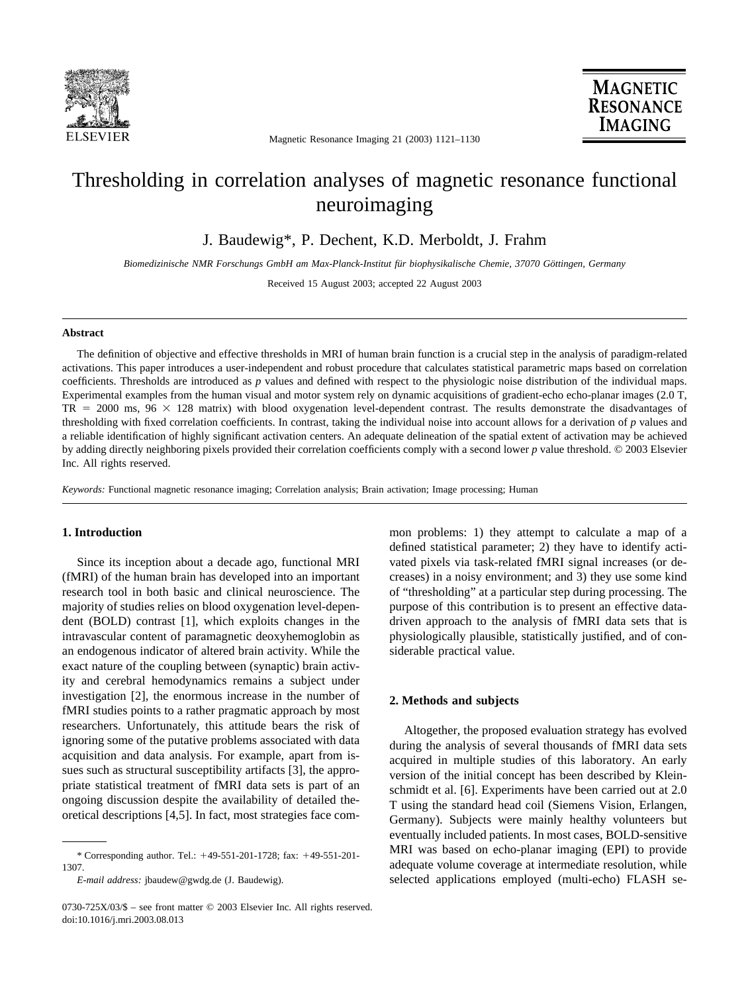

Magnetic Resonance Imaging 21 (2003) 1121–1130

# Thresholding in correlation analyses of magnetic resonance functional neuroimaging

J. Baudewig\*, P. Dechent, K.D. Merboldt, J. Frahm

*Biomedizinische NMR Forschungs GmbH am Max-Planck-Institut fu¨r biophysikalische Chemie, 37070 Go¨ttingen, Germany*

Received 15 August 2003; accepted 22 August 2003

#### **Abstract**

The definition of objective and effective thresholds in MRI of human brain function is a crucial step in the analysis of paradigm-related activations. This paper introduces a user-independent and robust procedure that calculates statistical parametric maps based on correlation coefficients. Thresholds are introduced as *p* values and defined with respect to the physiologic noise distribution of the individual maps. Experimental examples from the human visual and motor system rely on dynamic acquisitions of gradient-echo echo-planar images (2.0 T,  $TR = 2000 \text{ ms}$ ,  $96 \times 128 \text{ matrix}$  with blood oxygenation level-dependent contrast. The results demonstrate the disadvantages of thresholding with fixed correlation coefficients. In contrast, taking the individual noise into account allows for a derivation of *p* values and a reliable identification of highly significant activation centers. An adequate delineation of the spatial extent of activation may be achieved by adding directly neighboring pixels provided their correlation coefficients comply with a second lower *p* value threshold. © 2003 Elsevier Inc. All rights reserved.

*Keywords:* Functional magnetic resonance imaging; Correlation analysis; Brain activation; Image processing; Human

# **1. Introduction**

Since its inception about a decade ago, functional MRI (fMRI) of the human brain has developed into an important research tool in both basic and clinical neuroscience. The majority of studies relies on blood oxygenation level-dependent (BOLD) contrast [\[1\],](#page-9-0) which exploits changes in the intravascular content of paramagnetic deoxyhemoglobin as an endogenous indicator of altered brain activity. While the exact nature of the coupling between (synaptic) brain activity and cerebral hemodynamics remains a subject under investigation [\[2\],](#page-9-0) the enormous increase in the number of fMRI studies points to a rather pragmatic approach by most researchers. Unfortunately, this attitude bears the risk of ignoring some of the putative problems associated with data acquisition and data analysis. For example, apart from issues such as structural susceptibility artifacts [\[3\],](#page-9-0) the appropriate statistical treatment of fMRI data sets is part of an ongoing discussion despite the availability of detailed theoretical descriptions [\[4,5\].](#page-9-0) In fact, most strategies face com-

*E-mail address:* jbaudew@gwdg.de (J. Baudewig).

mon problems: 1) they attempt to calculate a map of a defined statistical parameter; 2) they have to identify activated pixels via task-related fMRI signal increases (or decreases) in a noisy environment; and 3) they use some kind of "thresholding" at a particular step during processing. The purpose of this contribution is to present an effective datadriven approach to the analysis of fMRI data sets that is physiologically plausible, statistically justified, and of considerable practical value.

## **2. Methods and subjects**

Altogether, the proposed evaluation strategy has evolved during the analysis of several thousands of fMRI data sets acquired in multiple studies of this laboratory. An early version of the initial concept has been described by Kleinschmidt et al. [\[6\].](#page-9-0) Experiments have been carried out at 2.0 T using the standard head coil (Siemens Vision, Erlangen, Germany). Subjects were mainly healthy volunteers but eventually included patients. In most cases, BOLD-sensitive MRI was based on echo-planar imaging (EPI) to provide adequate volume coverage at intermediate resolution, while selected applications employed (multi-echo) FLASH se-

<sup>\*</sup> Corresponding author. Tel.: 49-551-201-1728; fax: 49-551-201- 1307.

<sup>0730-725</sup>X/03/\$ – see front matter © 2003 Elsevier Inc. All rights reserved. doi:10.1016/j.mri.2003.08.013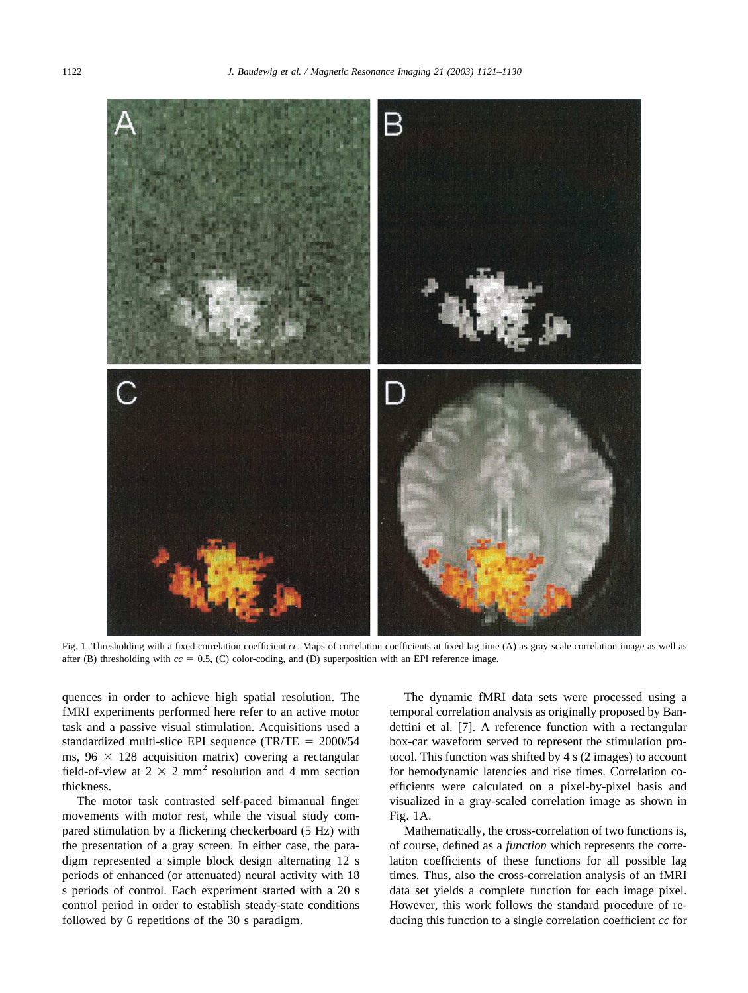<span id="page-1-0"></span>

Fig. 1. Thresholding with a fixed correlation coefficient *cc*. Maps of correlation coefficients at fixed lag time (A) as gray-scale correlation image as well as after (B) thresholding with  $cc = 0.5$ , (C) color-coding, and (D) superposition with an EPI reference image.

quences in order to achieve high spatial resolution. The fMRI experiments performed here refer to an active motor task and a passive visual stimulation. Acquisitions used a standardized multi-slice EPI sequence  $(TR/TE = 2000/54$ ms,  $96 \times 128$  acquisition matrix) covering a rectangular field-of-view at  $2 \times 2$  mm<sup>2</sup> resolution and 4 mm section thickness.

The motor task contrasted self-paced bimanual finger movements with motor rest, while the visual study compared stimulation by a flickering checkerboard (5 Hz) with the presentation of a gray screen. In either case, the paradigm represented a simple block design alternating 12 s periods of enhanced (or attenuated) neural activity with 18 s periods of control. Each experiment started with a 20 s control period in order to establish steady-state conditions followed by 6 repetitions of the 30 s paradigm.

The dynamic fMRI data sets were processed using a temporal correlation analysis as originally proposed by Bandettini et al. [\[7\].](#page-9-0) A reference function with a rectangular box-car waveform served to represent the stimulation protocol. This function was shifted by 4 s (2 images) to account for hemodynamic latencies and rise times. Correlation coefficients were calculated on a pixel-by-pixel basis and visualized in a gray-scaled correlation image as shown in Fig. 1A.

Mathematically, the cross-correlation of two functions is, of course, defined as a *function* which represents the correlation coefficients of these functions for all possible lag times. Thus, also the cross-correlation analysis of an fMRI data set yields a complete function for each image pixel. However, this work follows the standard procedure of reducing this function to a single correlation coefficient *cc* for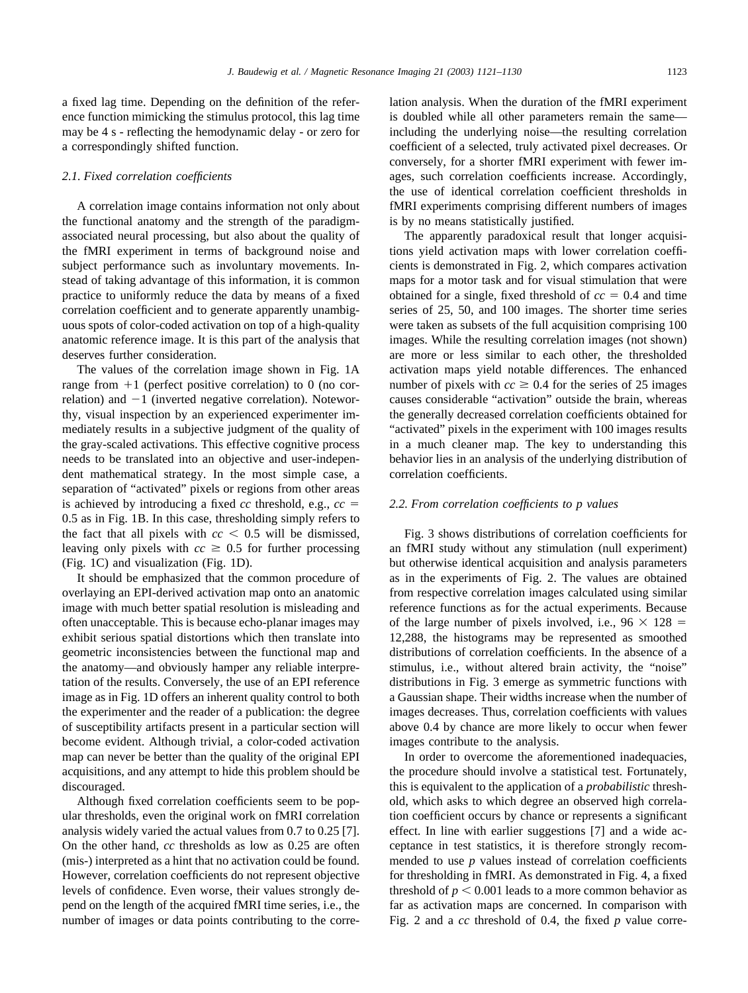a fixed lag time. Depending on the definition of the reference function mimicking the stimulus protocol, this lag time may be 4 s - reflecting the hemodynamic delay - or zero for a correspondingly shifted function.

#### *2.1. Fixed correlation coefficients*

A correlation image contains information not only about the functional anatomy and the strength of the paradigmassociated neural processing, but also about the quality of the fMRI experiment in terms of background noise and subject performance such as involuntary movements. Instead of taking advantage of this information, it is common practice to uniformly reduce the data by means of a fixed correlation coefficient and to generate apparently unambiguous spots of color-coded activation on top of a high-quality anatomic reference image. It is this part of the analysis that deserves further consideration.

The values of the correlation image shown in [Fig. 1A](#page-1-0) range from  $+1$  (perfect positive correlation) to 0 (no correlation) and  $-1$  (inverted negative correlation). Noteworthy, visual inspection by an experienced experimenter immediately results in a subjective judgment of the quality of the gray-scaled activations. This effective cognitive process needs to be translated into an objective and user-independent mathematical strategy. In the most simple case, a separation of "activated" pixels or regions from other areas is achieved by introducing a fixed *cc* threshold, e.g., *cc* 0.5 as in [Fig. 1B.](#page-1-0) In this case, thresholding simply refers to the fact that all pixels with  $cc < 0.5$  will be dismissed, leaving only pixels with  $cc \geq 0.5$  for further processing [\(Fig. 1C\)](#page-1-0) and visualization [\(Fig. 1D\)](#page-1-0).

It should be emphasized that the common procedure of overlaying an EPI-derived activation map onto an anatomic image with much better spatial resolution is misleading and often unacceptable. This is because echo-planar images may exhibit serious spatial distortions which then translate into geometric inconsistencies between the functional map and the anatomy—and obviously hamper any reliable interpretation of the results. Conversely, the use of an EPI reference image as in [Fig. 1D](#page-1-0) offers an inherent quality control to both the experimenter and the reader of a publication: the degree of susceptibility artifacts present in a particular section will become evident. Although trivial, a color-coded activation map can never be better than the quality of the original EPI acquisitions, and any attempt to hide this problem should be discouraged.

Although fixed correlation coefficients seem to be popular thresholds, even the original work on fMRI correlation analysis widely varied the actual values from 0.7 to 0.25 [7]. On the other hand, *cc* thresholds as low as 0.25 are often (mis-) interpreted as a hint that no activation could be found. However, correlation coefficients do not represent objective levels of confidence. Even worse, their values strongly depend on the length of the acquired fMRI time series, i.e., the number of images or data points contributing to the correlation analysis. When the duration of the fMRI experiment is doubled while all other parameters remain the same including the underlying noise—the resulting correlation coefficient of a selected, truly activated pixel decreases. Or conversely, for a shorter fMRI experiment with fewer images, such correlation coefficients increase. Accordingly, the use of identical correlation coefficient thresholds in fMRI experiments comprising different numbers of images is by no means statistically justified.

The apparently paradoxical result that longer acquisitions yield activation maps with lower correlation coefficients is demonstrated in [Fig. 2,](#page-3-0) which compares activation maps for a motor task and for visual stimulation that were obtained for a single, fixed threshold of  $cc = 0.4$  and time series of 25, 50, and 100 images. The shorter time series were taken as subsets of the full acquisition comprising 100 images. While the resulting correlation images (not shown) are more or less similar to each other, the thresholded activation maps yield notable differences. The enhanced number of pixels with  $cc \ge 0.4$  for the series of 25 images causes considerable "activation" outside the brain, whereas the generally decreased correlation coefficients obtained for "activated" pixels in the experiment with 100 images results in a much cleaner map. The key to understanding this behavior lies in an analysis of the underlying distribution of correlation coefficients.

# *2.2. From correlation coefficients to p values*

[Fig. 3](#page-4-0) shows distributions of correlation coefficients for an fMRI study without any stimulation (null experiment) but otherwise identical acquisition and analysis parameters as in the experiments of [Fig. 2.](#page-3-0) The values are obtained from respective correlation images calculated using similar reference functions as for the actual experiments. Because of the large number of pixels involved, i.e.,  $96 \times 128 =$ 12,288, the histograms may be represented as smoothed distributions of correlation coefficients. In the absence of a stimulus, i.e., without altered brain activity, the "noise" distributions in [Fig. 3](#page-4-0) emerge as symmetric functions with a Gaussian shape. Their widths increase when the number of images decreases. Thus, correlation coefficients with values above 0.4 by chance are more likely to occur when fewer images contribute to the analysis.

In order to overcome the aforementioned inadequacies, the procedure should involve a statistical test. Fortunately, this is equivalent to the application of a *probabilistic* threshold, which asks to which degree an observed high correlation coefficient occurs by chance or represents a significant effect. In line with earlier suggestions [7] and a wide acceptance in test statistics, it is therefore strongly recommended to use *p* values instead of correlation coefficients for thresholding in fMRI. As demonstrated in [Fig. 4,](#page-5-0) a fixed threshold of  $p < 0.001$  leads to a more common behavior as far as activation maps are concerned. In comparison with [Fig. 2](#page-3-0) and a *cc* threshold of 0.4, the fixed *p* value corre-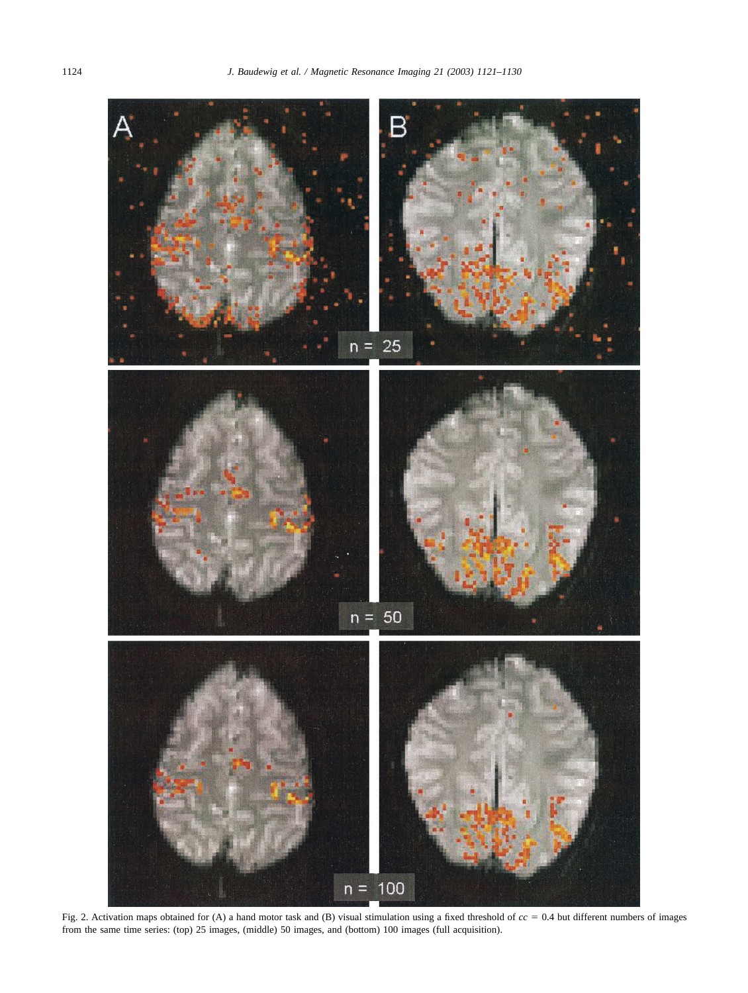<span id="page-3-0"></span>

Fig. 2. Activation maps obtained for (A) a hand motor task and (B) visual stimulation using a fixed threshold of  $cc = 0.4$  but different numbers of images from the same time series: (top) 25 images, (middle) 50 images, and (bottom) 100 images (full acquisition).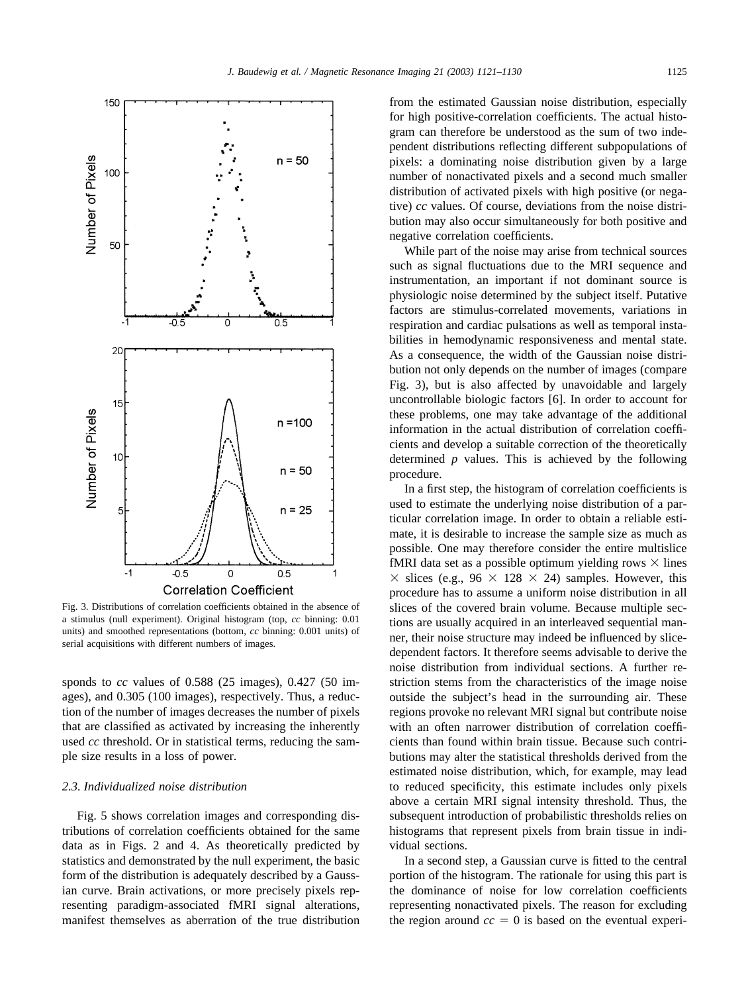<span id="page-4-0"></span>

Fig. 3. Distributions of correlation coefficients obtained in the absence of a stimulus (null experiment). Original histogram (top, *cc* binning: 0.01 units) and smoothed representations (bottom, *cc* binning: 0.001 units) of serial acquisitions with different numbers of images.

sponds to *cc* values of 0.588 (25 images), 0.427 (50 images), and 0.305 (100 images), respectively. Thus, a reduction of the number of images decreases the number of pixels that are classified as activated by increasing the inherently used *cc* threshold. Or in statistical terms, reducing the sample size results in a loss of power.

#### *2.3. Individualized noise distribution*

[Fig. 5](#page-6-0) shows correlation images and corresponding distributions of correlation coefficients obtained for the same data as in [Figs. 2](#page-3-0) and [4.](#page-5-0) As theoretically predicted by statistics and demonstrated by the null experiment, the basic form of the distribution is adequately described by a Gaussian curve. Brain activations, or more precisely pixels representing paradigm-associated fMRI signal alterations, manifest themselves as aberration of the true distribution

from the estimated Gaussian noise distribution, especially for high positive-correlation coefficients. The actual histogram can therefore be understood as the sum of two independent distributions reflecting different subpopulations of pixels: a dominating noise distribution given by a large number of nonactivated pixels and a second much smaller distribution of activated pixels with high positive (or negative) *cc* values. Of course, deviations from the noise distribution may also occur simultaneously for both positive and negative correlation coefficients.

While part of the noise may arise from technical sources such as signal fluctuations due to the MRI sequence and instrumentation, an important if not dominant source is physiologic noise determined by the subject itself. Putative factors are stimulus-correlated movements, variations in respiration and cardiac pulsations as well as temporal instabilities in hemodynamic responsiveness and mental state. As a consequence, the width of the Gaussian noise distribution not only depends on the number of images (compare Fig. 3), but is also affected by unavoidable and largely uncontrollable biologic factors [6]. In order to account for these problems, one may take advantage of the additional information in the actual distribution of correlation coefficients and develop a suitable correction of the theoretically determined *p* values. This is achieved by the following procedure.

In a first step, the histogram of correlation coefficients is used to estimate the underlying noise distribution of a particular correlation image. In order to obtain a reliable estimate, it is desirable to increase the sample size as much as possible. One may therefore consider the entire multislice fMRI data set as a possible optimum yielding rows  $\times$  lines  $\times$  slices (e.g., 96  $\times$  128  $\times$  24) samples. However, this procedure has to assume a uniform noise distribution in all slices of the covered brain volume. Because multiple sections are usually acquired in an interleaved sequential manner, their noise structure may indeed be influenced by slicedependent factors. It therefore seems advisable to derive the noise distribution from individual sections. A further restriction stems from the characteristics of the image noise outside the subject's head in the surrounding air. These regions provoke no relevant MRI signal but contribute noise with an often narrower distribution of correlation coefficients than found within brain tissue. Because such contributions may alter the statistical thresholds derived from the estimated noise distribution, which, for example, may lead to reduced specificity, this estimate includes only pixels above a certain MRI signal intensity threshold. Thus, the subsequent introduction of probabilistic thresholds relies on histograms that represent pixels from brain tissue in individual sections.

In a second step, a Gaussian curve is fitted to the central portion of the histogram. The rationale for using this part is the dominance of noise for low correlation coefficients representing nonactivated pixels. The reason for excluding the region around  $cc = 0$  is based on the eventual experi-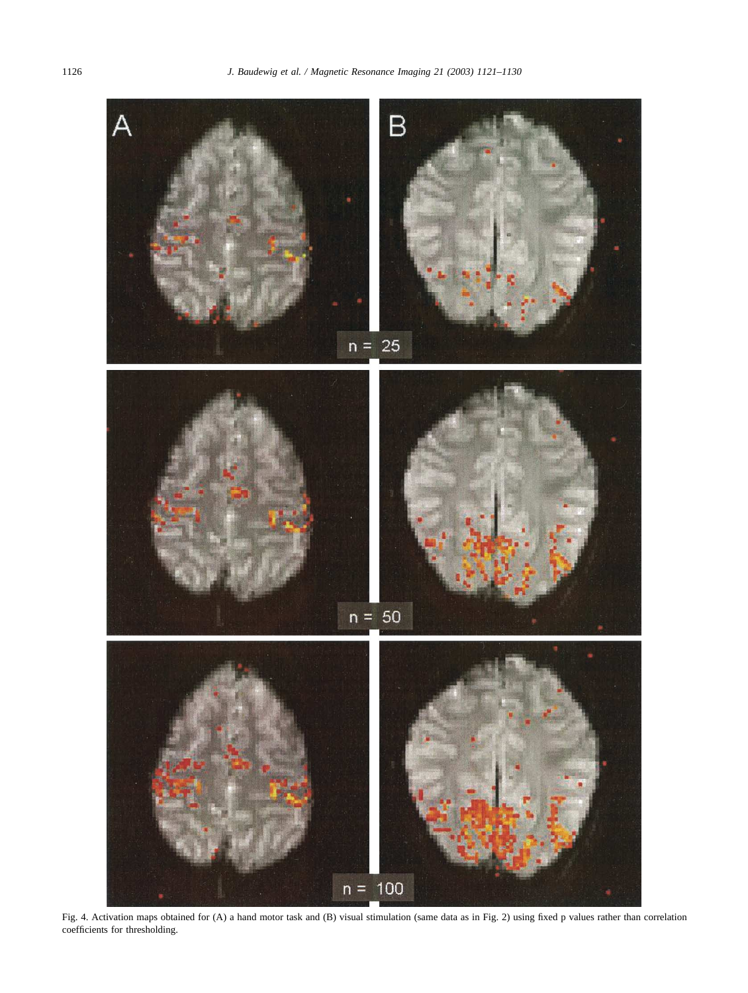<span id="page-5-0"></span>

Fig. 4. Activation maps obtained for (A) a hand motor task and (B) visual stimulation (same data as in [Fig. 2\)](#page-3-0) using fixed p values rather than correlation coefficients for thresholding.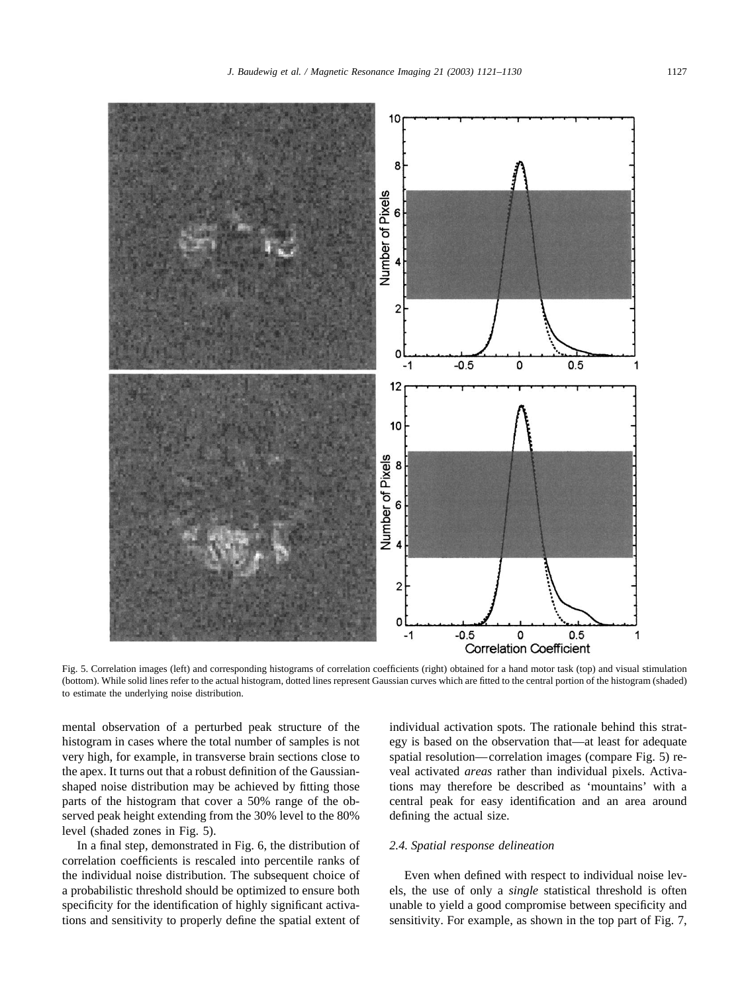<span id="page-6-0"></span>

Fig. 5. Correlation images (left) and corresponding histograms of correlation coefficients (right) obtained for a hand motor task (top) and visual stimulation (bottom). While solid lines refer to the actual histogram, dotted lines represent Gaussian curves which are fitted to the central portion of the histogram (shaded) to estimate the underlying noise distribution.

mental observation of a perturbed peak structure of the histogram in cases where the total number of samples is not very high, for example, in transverse brain sections close to the apex. It turns out that a robust definition of the Gaussianshaped noise distribution may be achieved by fitting those parts of the histogram that cover a 50% range of the observed peak height extending from the 30% level to the 80% level (shaded zones in Fig. 5).

In a final step, demonstrated in [Fig. 6,](#page-7-0) the distribution of correlation coefficients is rescaled into percentile ranks of the individual noise distribution. The subsequent choice of a probabilistic threshold should be optimized to ensure both specificity for the identification of highly significant activations and sensitivity to properly define the spatial extent of individual activation spots. The rationale behind this strategy is based on the observation that—at least for adequate spatial resolution—correlation images (compare Fig. 5) reveal activated *areas* rather than individual pixels. Activations may therefore be described as 'mountains' with a central peak for easy identification and an area around defining the actual size.

# *2.4. Spatial response delineation*

Even when defined with respect to individual noise levels, the use of only a *single* statistical threshold is often unable to yield a good compromise between specificity and sensitivity. For example, as shown in the top part of [Fig. 7,](#page-8-0)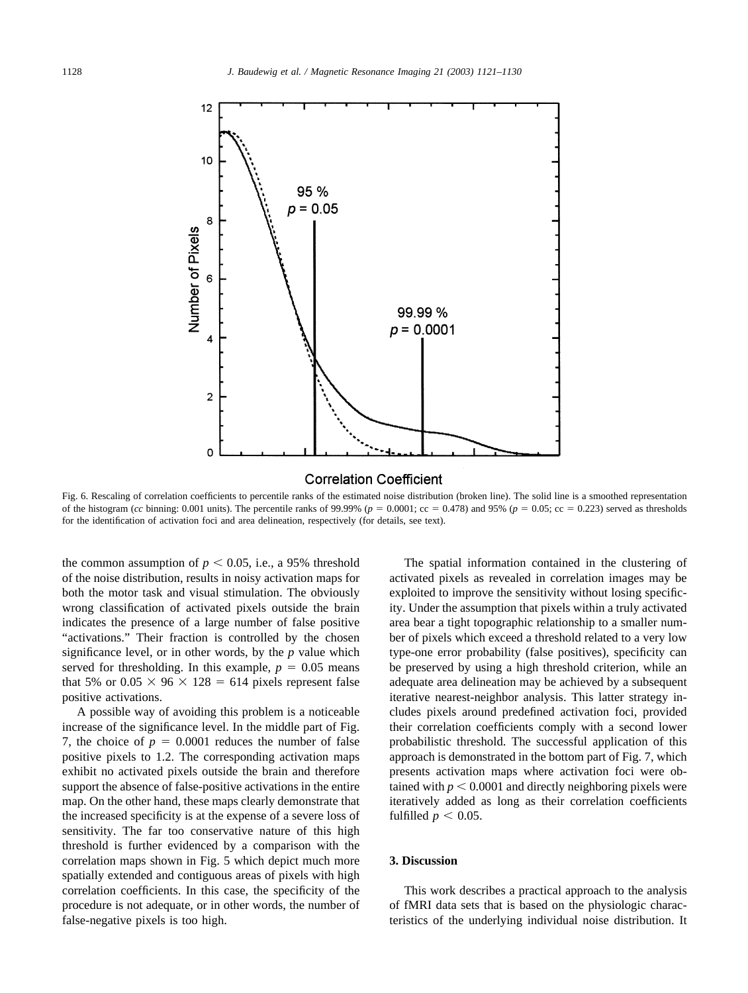<span id="page-7-0"></span>

#### **Correlation Coefficient**

Fig. 6. Rescaling of correlation coefficients to percentile ranks of the estimated noise distribution (broken line). The solid line is a smoothed representation of the histogram (*cc* binning: 0.001 units). The percentile ranks of 99.99% ( $p = 0.0001$ ; cc = 0.478) and 95% ( $p = 0.05$ ; cc = 0.223) served as thresholds for the identification of activation foci and area delineation, respectively (for details, see text).

the common assumption of  $p < 0.05$ , i.e., a 95% threshold of the noise distribution, results in noisy activation maps for both the motor task and visual stimulation. The obviously wrong classification of activated pixels outside the brain indicates the presence of a large number of false positive "activations." Their fraction is controlled by the chosen significance level, or in other words, by the *p* value which served for thresholding. In this example,  $p = 0.05$  means that 5% or  $0.05 \times 96 \times 128 = 614$  pixels represent false positive activations.

A possible way of avoiding this problem is a noticeable increase of the significance level. In the middle part of [Fig.](#page-8-0) [7,](#page-8-0) the choice of  $p = 0.0001$  reduces the number of false positive pixels to 1.2. The corresponding activation maps exhibit no activated pixels outside the brain and therefore support the absence of false-positive activations in the entire map. On the other hand, these maps clearly demonstrate that the increased specificity is at the expense of a severe loss of sensitivity. The far too conservative nature of this high threshold is further evidenced by a comparison with the correlation maps shown in [Fig. 5](#page-6-0) which depict much more spatially extended and contiguous areas of pixels with high correlation coefficients. In this case, the specificity of the procedure is not adequate, or in other words, the number of false-negative pixels is too high.

The spatial information contained in the clustering of activated pixels as revealed in correlation images may be exploited to improve the sensitivity without losing specificity. Under the assumption that pixels within a truly activated area bear a tight topographic relationship to a smaller number of pixels which exceed a threshold related to a very low type-one error probability (false positives), specificity can be preserved by using a high threshold criterion, while an adequate area delineation may be achieved by a subsequent iterative nearest-neighbor analysis. This latter strategy includes pixels around predefined activation foci, provided their correlation coefficients comply with a second lower probabilistic threshold. The successful application of this approach is demonstrated in the bottom part of [Fig. 7,](#page-8-0) which presents activation maps where activation foci were obtained with  $p < 0.0001$  and directly neighboring pixels were iteratively added as long as their correlation coefficients fulfilled  $p < 0.05$ .

### **3. Discussion**

This work describes a practical approach to the analysis of fMRI data sets that is based on the physiologic characteristics of the underlying individual noise distribution. It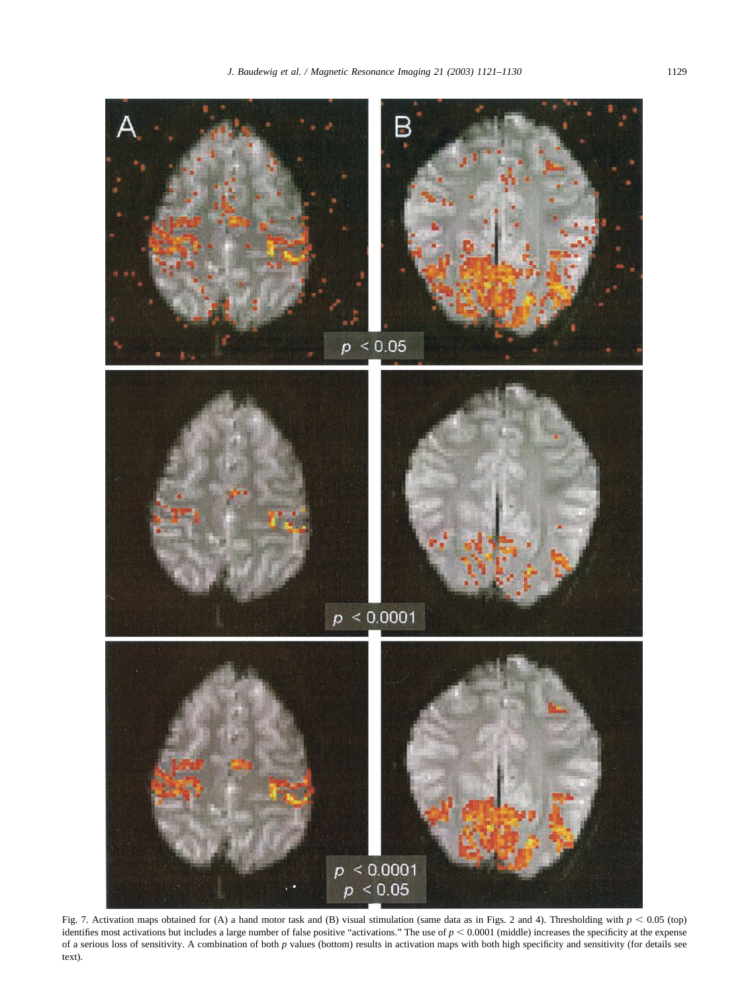<span id="page-8-0"></span>

Fig. 7. Activation maps obtained for (A) a hand motor task and (B) visual stimulation (same data as in [Figs. 2](#page-3-0) and [4\)](#page-5-0). Thresholding with  $p < 0.05$  (top) identifies most activations but includes a large number of false positive "activations." The use of  $p < 0.0001$  (middle) increases the specificity at the expense of a serious loss of sensitivity. A combination of both *p* values (bottom) results in activation maps with both high specificity and sensitivity (for details see text).